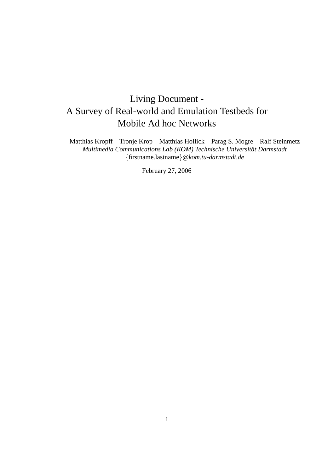# Living Document - A Survey of Real-world and Emulation Testbeds for Mobile Ad hoc Networks

Matthias Kropff Tronje Krop Matthias Hollick Parag S. Mogre Ralf Steinmetz *Multimedia Communications Lab (KOM) Technische Universitat Darmstadt ¨* {firstname.lastname}*@kom.tu-darmstadt.de*

February 27, 2006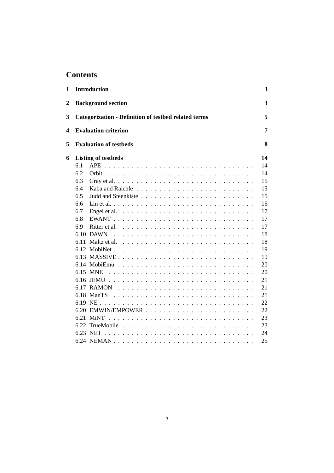# **Contents**

| 1              | <b>Introduction</b>                                                                  | 3  |
|----------------|--------------------------------------------------------------------------------------|----|
| $\overline{2}$ | <b>Background section</b>                                                            | 3  |
| 3              | <b>Categorization - Definition of testbed related terms</b>                          | 5  |
| 4              | <b>Evaluation criterion</b>                                                          | 7  |
| 5              | <b>Evaluation of testbeds</b>                                                        | 8  |
| 6              | <b>Listing of testbeds</b>                                                           | 14 |
|                | 6.1                                                                                  | 14 |
|                | 6.2                                                                                  | 14 |
|                | 6.3                                                                                  | 15 |
|                | 6.4                                                                                  | 15 |
|                | 6.5                                                                                  | 15 |
|                | 6.6                                                                                  | 16 |
|                | 6.7<br>Engel et al. $\ldots \ldots \ldots \ldots \ldots \ldots \ldots \ldots \ldots$ | 17 |
|                | 6.8                                                                                  | 17 |
|                | 6.9                                                                                  | 17 |
|                | $6.10$ DAWN                                                                          | 18 |
|                | 6.11 Maltz et al.                                                                    | 18 |
|                |                                                                                      | 19 |
|                |                                                                                      | 19 |
|                |                                                                                      | 20 |
|                | 6.15 MNE                                                                             | 20 |
|                |                                                                                      | 21 |
|                | 6.17 RAMON                                                                           | 21 |
|                | $6.18$ ManTS                                                                         | 21 |
|                |                                                                                      | 22 |
|                |                                                                                      | 22 |
|                | 6.21<br>MiNT                                                                         | 23 |
|                |                                                                                      | 23 |
|                |                                                                                      | 24 |
|                |                                                                                      | 25 |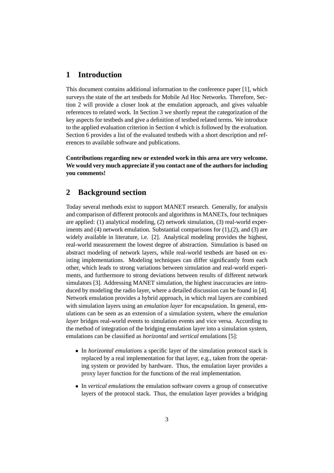# **1 Introduction**

This document contains additional information to the conference paper [1], which surveys the state of the art testbeds for Mobile Ad Hoc Networks. Therefore, Section 2 will provide a closer look at the emulation approach, and gives valuable references to related work. In Section 3 we shortly repeat the categorization of the key aspects for testbeds and give a definition of testbed related terms. We introduce to the applied evaluation criterion in Section 4 which is followed by the evaluation. Section 6 provides a list of the evaluated testbeds with a short description and references to available software and publications.

**Contributions regarding new or extended work in this area are very welcome. We would very much appreciate if you contact one of the authors for including you comments!**

# **2 Background section**

Today several methods exist to support MANET research. Generally, for analysis and comparison of different protocols and algorithms in MANETs, four techniques are applied: (1) analytical modeling, (2) network simulation, (3) real-world experiments and  $(4)$  network emulation. Substantial comparisons for  $(1)$ , $(2)$ , and  $(3)$  are widely available in literature, i.e. [2]. Analytical modeling provides the highest, real-world measurement the lowest degree of abstraction. Simulation is based on abstract modeling of network layers, while real-world testbeds are based on existing implementations. Modeling techniques can differ significantly from each other, which leads to strong variations between simulation and real-world experiments, and furthermore to strong deviations between results of different network simulators [3]. Addressing MANET simulation, the highest inaccuracies are introduced by modeling the radio layer, where a detailed discussion can be found in [4]. Network emulation provides a hybrid approach, in which real layers are combined with simulation layers using an *emulation layer* for encapsulation. In general, emulations can be seen as an extension of a simulation system, where the *emulation layer* bridges real-world events to simulation events and vice versa. According to the method of integration of the bridging emulation layer into a simulation system, emulations can be classified as *horizontal* and *vertical* emulations [5]:

- In *horizontal emulations* a specific layer of the simulation protocol stack is replaced by a real implementation for that layer, e.g., taken from the operating system or provided by hardware. Thus, the emulation layer provides a proxy layer function for the functions of the real implementation.
- In *vertical emulations* the emulation software covers a group of consecutive layers of the protocol stack. Thus, the emulation layer provides a bridging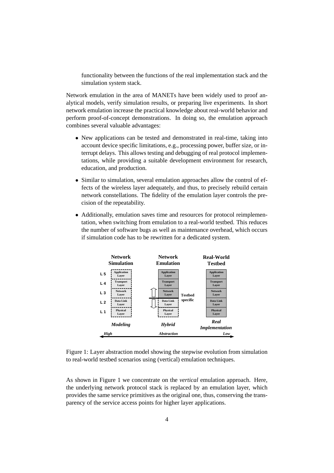functionality between the functions of the real implementation stack and the simulation system stack.

Network emulation in the area of MANETs have been widely used to proof analytical models, verify simulation results, or preparing live experiments. In short network emulation increase the practical knowledge about real-world behavior and perform proof-of-concept demonstrations. In doing so, the emulation approach combines several valuable advantages:

- New applications can be tested and demonstrated in real-time, taking into account device specific limitations, e.g., processing power, buffer size, or interrupt delays. This allows testing and debugging of real protocol implementations, while providing a suitable development environment for research, education, and production.
- Similar to simulation, several emulation approaches allow the control of effects of the wireless layer adequately, and thus, to precisely rebuild certain network constellations. The fidelity of the emulation layer controls the precision of the repeatability.
- Additionally, emulation saves time and resources for protocol reimplementation, when switching from emulation to a real-world testbed. This reduces the number of software bugs as well as maintenance overhead, which occurs if simulation code has to be rewritten for a dedicated system.



Figure 1: Layer abstraction model showing the stepwise evolution from simulation to real-world testbed scenarios using (vertical) emulation techniques.

As shown in Figure 1 we concentrate on the *vertical* emulation approach. Here, the underlying network protocol stack is replaced by an emulation layer, which provides the same service primitives as the original one, thus, conserving the transparency of the service access points for higher layer applications.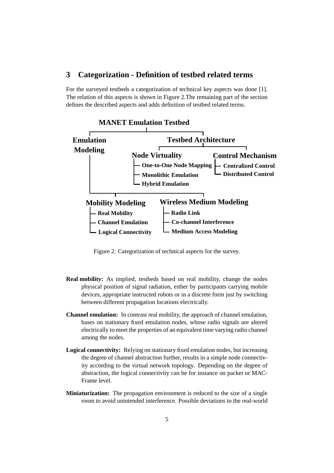# **3 Categorization - Definition of testbed related terms**

For the surveyed testbeds a categorization of technical key aspects was done [1]. The relation of this aspects is shown in Figure 2.The remaining part of the section defines the described aspects and adds definition of testbed related terms.



Figure 2: Categorization of technical aspects for the survey.

- **Real mobility:** As implied, testbeds based on real mobility, change the nodes physical position of signal radiation, either by participants carrying mobile devices, appropriate instructed robots or in a discrete form just by switching between different propagation locations electrically.
- **Channel emulation:** In contrast real mobility, the approach of channel emulation, bases on stationary fixed emulation nodes, whose radio signals are altered electrically to meet the properties of an equivalent time varying radio channel among the nodes.
- **Logical connectivity:** Relying on stationary fixed emulation nodes, but increasing the degree of channel abstraction further, results in a simple node connectivity according to the virtual network topology. Depending on the degree of abstraction, the logical connectivity can be for instance on packet or MAC-Frame level.
- **Miniaturization:** The propagation environment is reduced to the size of a single room to avoid unintended interference. Possible deviations to the real-world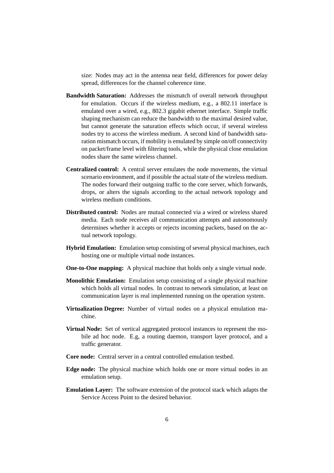size: Nodes may act in the antenna near field, differences for power delay spread, differences for the channel coherence time.

- **Bandwidth Saturation:** Addresses the mismatch of overall network throughput for emulation. Occurs if the wireless medium, e.g., a 802.11 interface is emulated over a wired, e.g., 802.3 gigabit ethernet interface. Simple traffic shaping mechanism can reduce the bandwidth to the maximal desired value, but cannot generate the saturation effects which occur, if several wireless nodes try to access the wireless medium. A second kind of bandwidth saturation mismatch occurs, if mobility is emulated by simple on/off connectivity on packet/frame level with filtering tools, while the physical close emulation nodes share the same wireless channel.
- **Centralized control:** A central server emulates the node movements, the virtual scenario environment, and if possible the actual state of the wireless medium. The nodes forward their outgoing traffic to the core server, which forwards, drops, or alters the signals according to the actual network topology and wireless medium conditions.
- **Distributed control:** Nodes are mutual connected via a wired or wireless shared media. Each node receives all communication attempts and autonomously determines whether it accepts or rejects incoming packets, based on the actual network topology.
- **Hybrid Emulation:** Emulation setup consisting of several physical machines, each hosting one or multiple virtual node instances.
- **One-to-One mapping:** A physical machine that holds only a single virtual node.
- **Monolithic Emulation:** Emulation setup consisting of a single physical machine which holds all virtual nodes. In contrast to network simulation, at least on communication layer is real implemented running on the operation system.
- **Virtualization Degree:** Number of virtual nodes on a physical emulation machine.
- **Virtual Node:** Set of vertical aggregated protocol instances to represent the mobile ad hoc node. E.g, a routing daemon, transport layer protocol, and a traffic generator.
- **Core node:** Central server in a central controlled emulation testbed.
- **Edge node:** The physical machine which holds one or more virtual nodes in an emulation setup.
- **Emulation Layer:** The software extension of the protocol stack which adapts the Service Access Point to the desired behavior.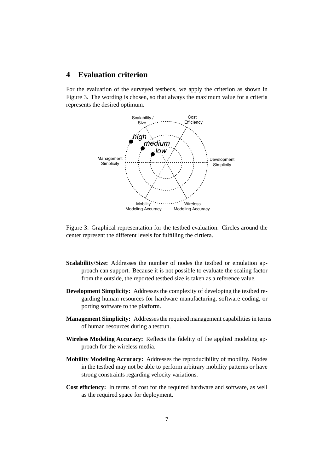# **4 Evaluation criterion**

For the evaluation of the surveyed testbeds, we apply the criterion as shown in Figure 3. The wording is chosen, so that always the maximum value for a criteria represents the desired optimum.



Figure 3: Graphical representation for the testbed evaluation. Circles around the center represent the different levels for fulfilling the cirtiera.

- **Scalability/Size:** Addresses the number of nodes the testbed or emulation approach can support. Because it is not possible to evaluate the scaling factor from the outside, the reported testbed size is taken as a reference value.
- **Development Simplicity:** Addresses the complexity of developing the testbed regarding human resources for hardware manufacturing, software coding, or porting software to the platform.
- **Management Simplicity:** Addresses the required management capabilities in terms of human resources during a testrun.
- **Wireless Modeling Accuracy:** Reflects the fidelity of the applied modeling approach for the wireless media.
- **Mobility Modeling Accuracy:** Addresses the reproducibility of mobility. Nodes in the testbed may not be able to perform arbitrary mobility patterns or have strong constraints regarding velocity variations.
- **Cost efficiency:** In terms of cost for the required hardware and software, as well as the required space for deployment.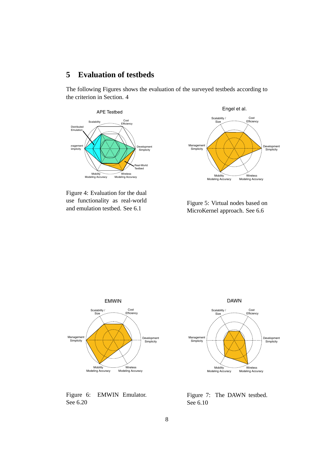# **5 Evaluation of testbeds**

The following Figures shows the evaluation of the surveyed testbeds according to the criterion in Section. 4



Figure 4: Evaluation for the dual use functionality as real-world and emulation testbed. See 6.1



Figure 5: Virtual nodes based on MicroKernel approach. See 6.6



Figure 6: EMWIN Emulator. See 6.20



Figure 7: The DAWN testbed. See 6.10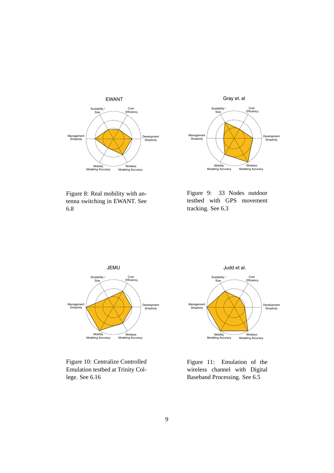



Figure 8: Real mobility with antenna switching in EWANT. See 6.8

Figure 9: 33 Nodes outdoor testbed with GPS movement tracking. See 6.3



Figure 10: Centralize Controlled Emulation testbed at Trinity College. See 6.16



Figure 11: Emulation of the wireless channel with Digital Baseband Processing. See 6.5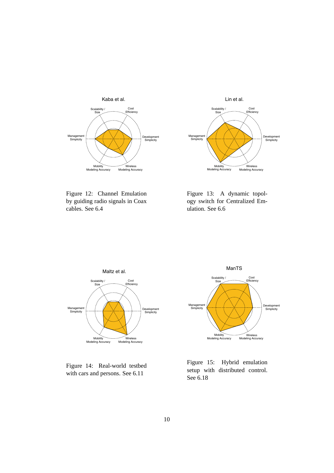



Figure 12: Channel Emulation by guiding radio signals in Coax cables. See 6.4

Figure 13: A dynamic topology switch for Centralized Emulation. See 6.6



Figure 14: Real-world testbed with cars and persons. See 6.11



Figure 15: Hybrid emulation setup with distributed control. See 6.18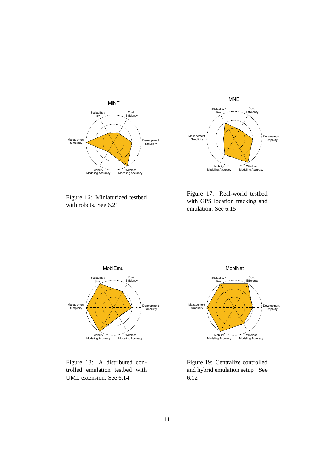



Figure 16: Miniaturized testbed with robots. See 6.21

Figure 17: Real-world testbed with GPS location tracking and emulation. See 6.15



Figure 18: A distributed controlled emulation testbed with UML extension. See 6.14



Figure 19: Centralize controlled and hybrid emulation setup . See 6.12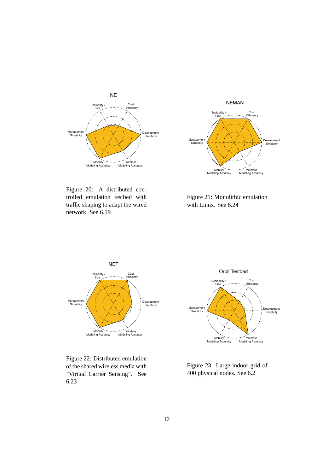



Figure 20: A distributed controlled emulation testbed with traffic shaping to adapt the wired network. See 6.19

Figure 21: Monolithic emulation with Linux. See 6.24



Figure 22: Distributed emulation of the shared wireless media with "Virtual Carrier Sensing". See 6.23



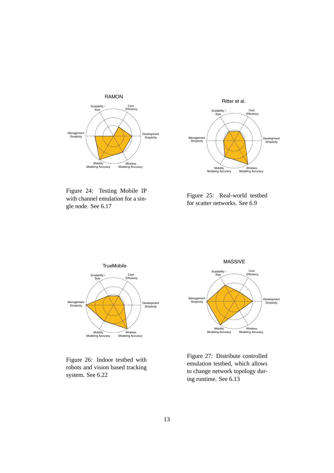



Figure 24: Testing Mobile IP with channel emulation for a single node. See 6.17

Figure 25: Real-world testbed for scatter networks. See 6.9



Figure 26: Indoor testbed with robots and vision based tracking system. See 6.22



Figure 27: Distribute controlled emulation testbed, which allows to change network topology during runtime. See 6.13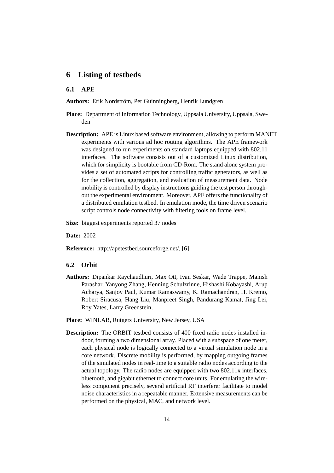# **6 Listing of testbeds**

### **6.1 APE**

Authors: Erik Nordström, Per Guinningberg, Henrik Lundgren

- **Place:** Department of Information Technology, Uppsala University, Uppsala, Sweden
- **Description:** APE is Linux based software environment, allowing to perform MANET experiments with various ad hoc routing algorithms. The APE framework was designed to run experiments on standard laptops equipped with 802.11 interfaces. The software consists out of a customized Linux distribution, which for simplicity is bootable from CD-Rom. The stand alone system provides a set of automated scripts for controlling traffic generators, as well as for the collection, aggregation, and evaluation of measurement data. Node mobility is controlled by display instructions guiding the test person throughout the experimental environment. Moreover, APE offers the functionality of a distributed emulation testbed. In emulation mode, the time driven scenario script controls node connectivity with filtering tools on frame level.
- **Size:** biggest experiments reported 37 nodes

**Date:** 2002

**Reference:** http://apetestbed.sourceforge.net/, [6]

#### **6.2 Orbit**

- **Authors:** Dipankar Raychaudhuri, Max Ott, Ivan Seskar, Wade Trappe, Manish Parashar, Yanyong Zhang, Henning Schulzrinne, Hishashi Kobayashi, Arup Acharya, Sanjoy Paul, Kumar Ramaswamy, K. Ramachandran, H. Kremo, Robert Siracusa, Hang Liu, Manpreet Singh, Pandurang Kamat, Jing Lei, Roy Yates, Larry Greenstein,
- **Place:** WINLAB, Rutgers University, New Jersey, USA
- **Description:** The ORBIT testbed consists of 400 fixed radio nodes installed indoor, forming a two dimensional array. Placed with a subspace of one meter, each physical node is logically connected to a virtual simulation node in a core network. Discrete mobility is performed, by mapping outgoing frames of the simulated nodes in real-time to a suitable radio nodes according to the actual topology. The radio nodes are equipped with two 802.11x interfaces, bluetooth, and gigabit ethernet to connect core units. For emulating the wireless component precisely, several artificial RF interferer facilitate to model noise characteristics in a repeatable manner. Extensive measurements can be performed on the physical, MAC, and network level.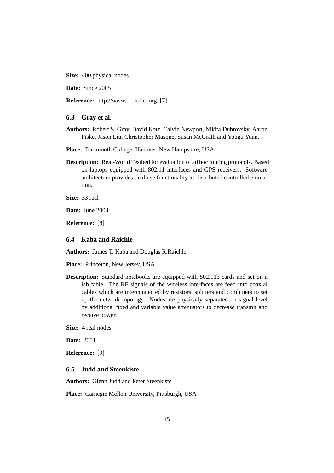**Size:** 400 physical nodes

**Date:** Since 2005

**Reference:** http://www.orbit-lab.org, [7]

#### **6.3 Gray et al.**

- **Authors:** Robert S. Gray, David Kotz, Calvin Newport, Nikita Dubrovsky, Aaron Fiske, Jason Liu, Christopher Masone, Susan McGrath and Yougu Yuan.
- **Place:** Dartmouth College, Hanover, New Hampshire, USA
- **Description:** Real-World Testbed for evaluation of ad hoc routing protocols. Based on laptops equipped with 802.11 interfaces and GPS receivers. Software architecture provides dual use functionality as distributed controlled emulation.

**Size:** 33 real

**Date:** June 2004

**Reference:** [8]

#### **6.4 Kaba and Raichle**

**Authors:** James T. Kaba and Douglas R.Raichle

**Place:** Princeton, New Jersey, USA

**Description:** Standard notebooks are equipped with 802.11b cards and set on a lab table. The RF signals of the wireless interfaces are feed into coaxial cables which are interconnected by resistors, splitters and combiners to set up the network topology. Nodes are physically separated on signal level by additional fixed and variable value attenuators to decrease transmit and receive power.

**Size:** 4 real nodes

**Date:** 2001

**Reference:** [9]

#### **6.5 Judd and Steenkiste**

**Authors:** Glenn Judd and Peter Steenkiste

**Place:** Carnegie Mellon University, Pittsburgh, USA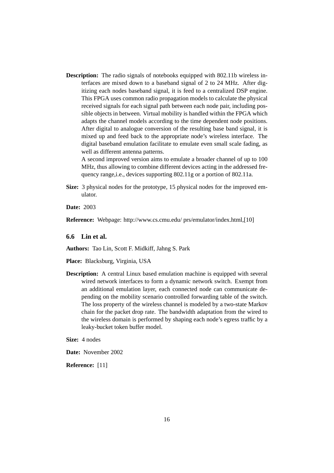**Description:** The radio signals of notebooks equipped with 802.11b wireless interfaces are mixed down to a baseband signal of 2 to 24 MHz. After digitizing each nodes baseband signal, it is feed to a centralized DSP engine. This FPGA uses common radio propagation models to calculate the physical received signals for each signal path between each node pair, including possible objects in between. Virtual mobility is handled within the FPGA which adapts the channel models according to the time dependent node positions. After digital to analogue conversion of the resulting base band signal, it is mixed up and feed back to the appropriate node's wireless interface. The digital baseband emulation facilitate to emulate even small scale fading, as well as different antenna patterns.

A second improved version aims to emulate a broader channel of up to 100 MHz, thus allowing to combine different devices acting in the addressed frequency range,i.e., devices supporting 802.11g or a portion of 802.11a.

**Size:** 3 physical nodes for the prototype, 15 physical nodes for the improved emulator.

**Date:** 2003

**Reference:** Webpage: http://www.cs.cmu.edu/ prs/emulator/index.html,[10]

**6.6 Lin et al.**

**Authors:** Tao Lin, Scott F. Midkiff, Jahng S. Park

**Place:** Blacksburg, Virginia, USA

**Description:** A central Linux based emulation machine is equipped with several wired network interfaces to form a dynamic network switch. Exempt from an additional emulation layer, each connected node can communicate depending on the mobility scenario controlled forwarding table of the switch. The loss property of the wireless channel is modeled by a two-state Markov chain for the packet drop rate. The bandwidth adaptation from the wired to the wireless domain is performed by shaping each node's egress traffic by a leaky-bucket token buffer model.

**Size:** 4 nodes

**Date:** November 2002

**Reference:** [11]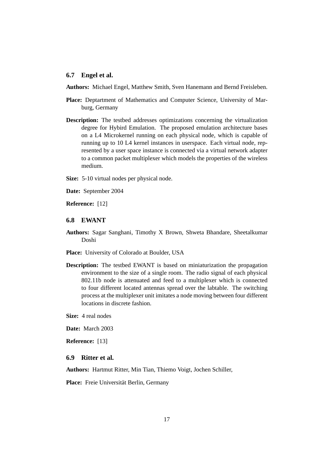#### **6.7 Engel et al.**

**Authors:** Michael Engel, Matthew Smith, Sven Hanemann and Bernd Freisleben.

- **Place:** Deptartment of Mathematics and Computer Science, University of Marburg, Germany
- **Description:** The testbed addresses optimizations concerning the virtualization degree for Hybird Emulation. The proposed emulation architecture bases on a L4 Microkernel running on each physical node, which is capable of running up to 10 L4 kernel instances in userspace. Each virtual node, represented by a user space instance is connected via a virtual network adapter to a common packet multiplexer which models the properties of the wireless medium.
- **Size:** 5-10 virtual nodes per physical node.
- **Date:** September 2004

**Reference:** [12]

#### **6.8 EWANT**

- **Authors:** Sagar Sanghani, Timothy X Brown, Shweta Bhandare, Sheetalkumar Doshi
- **Place:** University of Colorado at Boulder, USA
- **Description:** The testbed EWANT is based on miniaturization the propagation environment to the size of a single room. The radio signal of each physical 802.11b node is attenuated and feed to a multiplexer which is connected to four different located antennas spread over the labtable. The switching process at the multiplexer unit imitates a node moving between four different locations in discrete fashion.
- **Size:** 4 real nodes

**Date:** March 2003

**Reference:** [13]

#### **6.9 Ritter et al.**

**Authors:** Hartmut Ritter, Min Tian, Thiemo Voigt, Jochen Schiller,

Place: Freie Universität Berlin, Germany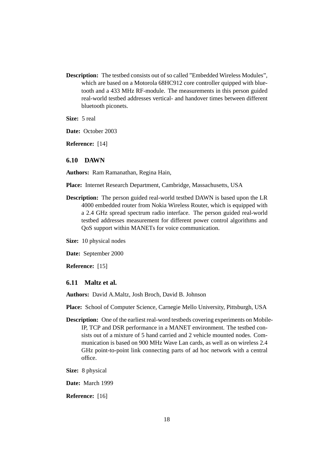**Description:** The testbed consists out of so called "Embedded Wireless Modules", which are based on a Motorola 68HC912 core controller quipped with bluetooth and a 433 MHz RF-module. The measurements in this person guided real-world testbed addresses vertical- and handover times between different bluetooth piconets.

**Size:** 5 real

**Date:** October 2003

**Reference:** [14]

#### **6.10 DAWN**

**Authors:** Ram Ramanathan, Regina Hain,

**Place:** Internet Research Department, Cambridge, Massachusetts, USA

**Description:** The person guided real-world testbed DAWN is based upon the LR 4000 embedded router from Nokia Wireless Router, which is equipped with a 2.4 GHz spread spectrum radio interface. The person guided real-world testbed addresses measurement for different power control algorithms and QoS support within MANETs for voice communication.

**Size:** 10 physical nodes

**Date:** September 2000

**Reference:** [15]

#### **6.11 Maltz et al.**

**Authors:** David A.Maltz, Josh Broch, David B. Johnson

**Place:** School of Computer Science, Carnegie Mello University, Pittsburgh, USA

- **Description:** One of the earliest real-word testbeds covering experiments on Mobile-IP, TCP and DSR performance in a MANET environment. The testbed consists out of a mixture of 5 hand carried and 2 vehicle mounted nodes. Communication is based on 900 MHz Wave Lan cards, as well as on wireless 2.4 GHz point-to-point link connecting parts of ad hoc network with a central office.
- **Size:** 8 physical

**Date:** March 1999

**Reference:** [16]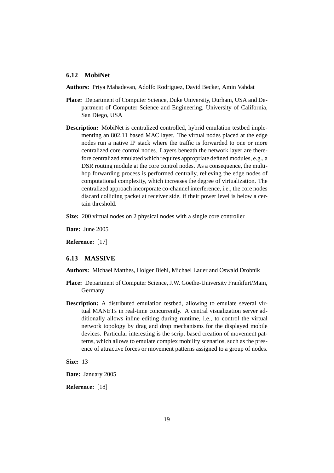#### **6.12 MobiNet**

**Authors:** Priya Mahadevan, Adolfo Rodriguez, David Becker, Amin Vahdat

- **Place:** Department of Computer Science, Duke University, Durham, USA and Department of Computer Science and Engineering, University of California, San Diego, USA
- **Description:** MobiNet is centralized controlled, hybrid emulation testbed implementing an 802.11 based MAC layer. The virtual nodes placed at the edge nodes run a native IP stack where the traffic is forwarded to one or more centralized core control nodes. Layers beneath the network layer are therefore centralized emulated which requires appropriate defined modules, e.g., a DSR routing module at the core control nodes. As a consequence, the multihop forwarding process is performed centrally, relieving the edge nodes of computational complexity, which increases the degree of virtualization. The centralized approach incorporate co-channel interference, i.e., the core nodes discard colliding packet at receiver side, if their power level is below a certain threshold.
- **Size:** 200 virtual nodes on 2 physical nodes with a single core controller

**Date:** June 2005

**Reference:** [17]

#### **6.13 MASSIVE**

**Authors:** Michael Matthes, Holger Biehl, Michael Lauer and Oswald Drobnik

- Place: Department of Computer Science, J.W. Göethe-University Frankfurt/Main, Germany
- **Description:** A distributed emulation testbed, allowing to emulate several virtual MANETs in real-time concurrently. A central visualization server additionally allows inline editing during runtime, i.e., to control the virtual network topology by drag and drop mechanisms for the displayed mobile devices. Particular interesting is the script based creation of movement patterns, which allows to emulate complex mobility scenarios, such as the presence of attractive forces or movement patterns assigned to a group of nodes.

**Size:** 13

**Date:** January 2005

**Reference:** [18]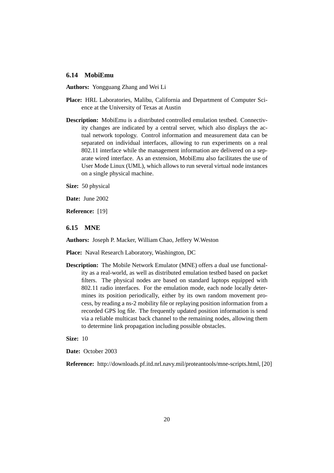#### **6.14 MobiEmu**

**Authors:** Yongguang Zhang and Wei Li

- **Place:** HRL Laboratories, Malibu, California and Department of Computer Science at the University of Texas at Austin
- **Description:** MobiEmu is a distributed controlled emulation testbed. Connectivity changes are indicated by a central server, which also displays the actual network topology. Control information and measurement data can be separated on individual interfaces, allowing to run experiments on a real 802.11 interface while the management information are delivered on a separate wired interface. As an extension, MobiEmu also facilitates the use of User Mode Linux (UML), which allows to run several virtual node instances on a single physical machine.

**Size:** 50 physical

**Date:** June 2002

**Reference:** [19]

**6.15 MNE**

**Authors:** Joseph P. Macker, William Chao, Jeffery W.Weston

**Place:** Naval Research Laboratory, Washington, DC

**Description:** The Mobile Network Emulator (MNE) offers a dual use functionality as a real-world, as well as distributed emulation testbed based on packet filters. The physical nodes are based on standard laptops equipped with 802.11 radio interfaces. For the emulation mode, each node locally determines its position periodically, either by its own random movement process, by reading a ns-2 mobility file or replaying position information from a recorded GPS log file. The frequently updated position information is send via a reliable multicast back channel to the remaining nodes, allowing them to determine link propagation including possible obstacles.

**Size:** 10

**Date:** October 2003

**Reference:** http://downloads.pf.itd.nrl.navy.mil/proteantools/mne-scripts.html, [20]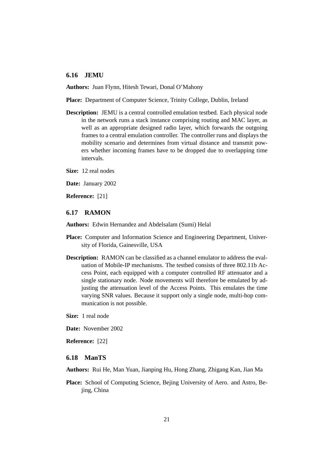#### **6.16 JEMU**

**Authors:** Juan Flynn, Hitesh Tewari, Donal O'Mahony

**Place:** Department of Computer Science, Trinity College, Dublin, Ireland

**Description:** JEMU is a central controlled emulation testbed. Each physical node in the network runs a stack instance comprising routing and MAC layer, as well as an appropriate designed radio layer, which forwards the outgoing frames to a central emulation controller. The controller runs and displays the mobility scenario and determines from virtual distance and transmit powers whether incoming frames have to be dropped due to overlapping time intervals.

**Size:** 12 real nodes

**Date:** January 2002

**Reference:** [21]

#### **6.17 RAMON**

**Authors:** Edwin Hernandez and Abdelsalam (Sumi) Helal

- **Place:** Computer and Information Science and Engineering Department, University of Florida, Gainesville, USA
- **Description:** RAMON can be classified as a channel emulator to address the evaluation of Mobile-IP mechanisms. The testbed consists of three 802.11b Access Point, each equipped with a computer controlled RF attenuator and a single stationary node. Node movements will therefore be emulated by adjusting the attenuation level of the Access Points. This emulates the time varying SNR values. Because it support only a single node, multi-hop communication is not possible.
- **Size:** 1 real node

**Date:** November 2002

**Reference:** [22]

#### **6.18 ManTS**

**Authors:** Rui He, Man Yuan, Jianping Hu, Hong Zhang, Zhigang Kan, Jian Ma

**Place:** School of Computing Science, Bejing University of Aero. and Astro, Bejing, China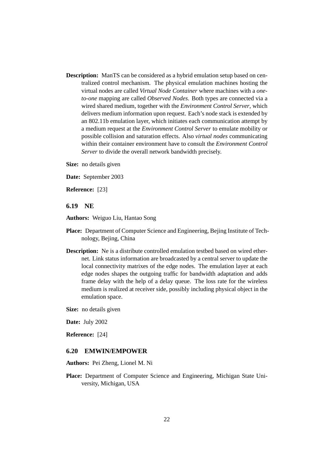**Description:** ManTS can be considered as a hybrid emulation setup based on centralized control mechanism. The physical emulation machines hosting the virtual nodes are called *Virtual Node Container* where machines with a *oneto-one* mapping are called *Observed Nodes*. Both types are connected via a wired shared medium, together with the *Environment Control Server*, which delivers medium information upon request. Each's node stack is extended by an 802.11b emulation layer, which initiates each communication attempt by a medium request at the *Environment Control Server* to emulate mobility or possible collision and saturation effects. Also *virtual nodes* communicating within their container environment have to consult the *Environment Control Server* to divide the overall network bandwidth precisely.

**Size:** no details given

**Date:** September 2003

**Reference:** [23]

#### **6.19 NE**

**Authors:** Weiguo Liu, Hantao Song

- **Place:** Department of Computer Science and Engineering, Bejing Institute of Technology, Bejing, China
- **Description:** Ne is a distribute controlled emulation testbed based on wired ethernet. Link status information are broadcasted by a central server to update the local connectivity matrixes of the edge nodes. The emulation layer at each edge nodes shapes the outgoing traffic for bandwidth adaptation and adds frame delay with the help of a delay queue. The loss rate for the wireless medium is realized at receiver side, possibly including physical object in the emulation space.
- **Size:** no details given

**Date:** July 2002

**Reference:** [24]

#### **6.20 EMWIN/EMPOWER**

**Authors:** Pei Zheng, Lionel M. Ni

**Place:** Department of Computer Science and Engineering, Michigan State University, Michigan, USA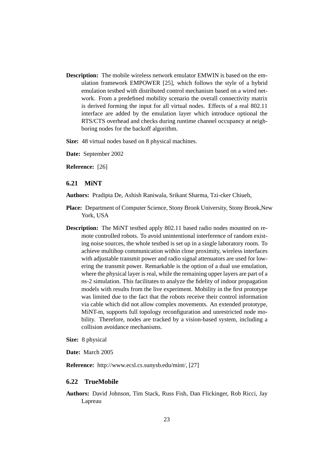**Description:** The mobile wireless network emulator EMWIN is based on the emulation framework EMPOWER [25], which follows the style of a hybrid emulation testbed with distributed control mechanism based on a wired network. From a predefined mobility scenario the overall connectivity matrix is derived forming the input for all virtual nodes. Effects of a real 802.11 interface are added by the emulation layer which introduce optional the RTS/CTS overhead and checks during runtime channel occupancy at neighboring nodes for the backoff algorithm.

**Size:** 48 virtual nodes based on 8 physical machines.

**Date:** September 2002

**Reference:** [26]

#### **6.21 MiNT**

**Authors:** Pradipta De, Ashish Raniwala, Srikant Sharma, Tzi-cker Chiueh,

- **Place:** Department of Computer Science, Stony Brook University, Stony Brook,New York, USA
- **Description:** The MiNT testbed apply 802.11 based radio nodes mounted on remote controlled robots. To avoid unintentional interference of random existing noise sources, the whole testbed is set up in a single laboratory room. To achieve multihop communication within close proximity, wireless interfaces with adjustable transmit power and radio signal attenuators are used for lowering the transmit power. Remarkable is the option of a dual use emulation, where the physical layer is real, while the remaining upper layers are part of a ns-2 simulation. This facilitates to analyze the fidelity of indoor propagation models with results from the live experiment. Mobility in the first prototype was limited due to the fact that the robots receive their control information via cable which did not allow complex movements. An extended prototype, MiNT-m, supports full topology reconfiguration and unrestricted node mobility. Therefore, nodes are tracked by a vision-based system, including a collision avoidance mechanisms.

**Size:** 8 physical

**Date:** March 2005

**Reference:** http://www.ecsl.cs.sunysb.edu/mint/, [27]

#### **6.22 TrueMobile**

**Authors:** David Johnson, Tim Stack, Russ Fish, Dan Flickinger, Rob Ricci, Jay Lapreau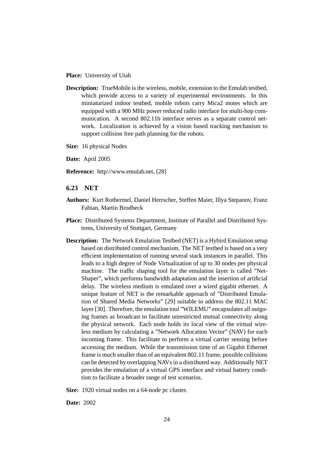**Place:** University of Utah

- **Description:** TrueMobile is the wireless, mobile, extension to the Emulab testbed, which provide access to a variety of experimental environments. In this miniaturized indoor testbed, mobile robots carry Mica2 motes which are equipped with a 900 MHz power reduced radio interface for multi-hop communication. A second 802.11b interface serves as a separate control network. Localization is achieved by a vision based tracking mechanism to support collision free path planning for the robots.
- **Size:** 16 physical Nodes
- **Date:** April 2005
- **Reference:** http://www.emulab.net, [28]

#### **6.23 NET**

- **Authors:** Kurt Rothermel, Daniel Herrscher, Steffen Maier, Illya Stepanov, Franz Fabian, Martin Brodbeck
- **Place:** Distributed Systems Department, Institute of Parallel and Distributed Systems, University of Stuttgart, Germany
- **Description:** The Network Emulation Testbed (NET) is a Hybird Emulation setup based on distributed control mechanism. The NET testbed is based on a very efficient implementation of running several stack instances in parallel. This leads to a high degree of Node Virtualization of up to 30 nodes per physical machine. The traffic shaping tool for the emulation layer is called "Net-Shaper", which performs bandwidth adaptation and the insertion of artificial delay. The wireless medium is emulated over a wired gigabit ethernet. A unique feature of NET is the remarkable approach of "Distributed Emulation of Shared Media Networks" [29] suitable to address the 802.11 MAC layer [30]. Therefore, the emulation tool "WILEMU" encapsulates all outgoing frames as broadcast to facilitate unrestricted mutual connectivity along the physical network. Each node holds its local view of the virtual wireless medium by calculating a "Network Allocation Vector" (NAV) for each incoming frame. This facilitate to perform a virtual carrier sensing before accessing the medium. While the transmission time of an Gigabit Ethernet frame is much smaller than of an equivalent 802.11 frame, possible collisions can be detected by overlapping NAVs in a distributed way. Additionally NET provides the emulation of a virtual GPS interface and virtual battery condition to facilitate a broader range of test scenarios.

**Size:** 1920 virtual nodes on a 64-node pc cluster.

**Date:** 2002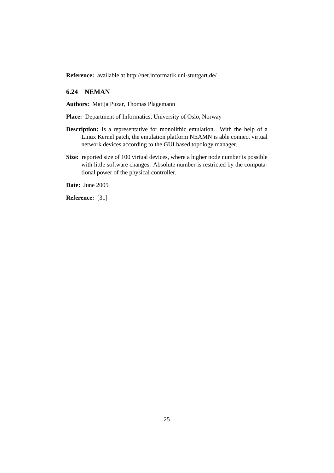**Reference:** available at http://net.informatik.uni-stuttgart.de/

## **6.24 NEMAN**

**Authors:** Matija Puzar, Thomas Plagemann

**Place:** Department of Informatics, University of Oslo, Norway

- **Description:** Is a representative for monolithic emulation. With the help of a Linux Kernel patch, the emulation platform NEAMN is able connect virtual network devices according to the GUI based topology manager.
- **Size:** reported size of 100 virtual devices, where a higher node number is possible with little software changes. Absolute number is restricted by the computational power of the physical controller.

**Date:** June 2005

**Reference:** [31]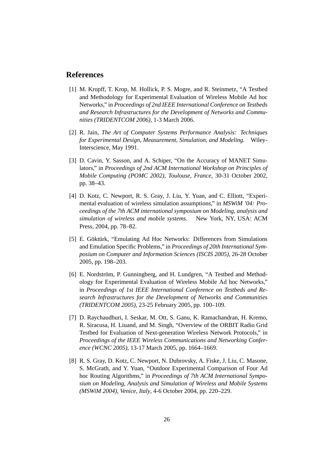## **References**

- [1] M. Kropff, T. Krop, M. Hollick, P. S. Mogre, and R. Steinmetz, "A Testbed and Methodology for Experimental Evaluation of Wireless Mobile Ad hoc Networks," in *Proceedings of 2nd IEEE International Conference on Testbeds and Research Infrastructures for the Development of Networks and Communities (TRIDENTCOM 2006)*, 1-3 March 2006.
- [2] R. Jain, *The Art of Computer Systems Performance Analysis: Techniques for Experimental Design, Measurement, Simulation, and Modeling*. Wiley-Interscience, May 1991.
- [3] D. Cavin, Y. Sasson, and A. Schiper, "On the Accuracy of MANET Simulators," in *Proceedings of 2nd ACM International Workshop on Principles of Mobile Computing (POMC 2002), Toulouse, France*, 30-31 October 2002, pp. 38–43.
- [4] D. Kotz, C. Newport, R. S. Gray, J. Liu, Y. Yuan, and C. Elliott, "Experimental evaluation of wireless simulation assumptions," in *MSWiM '04: Proceedings of the 7th ACM international symposium on Modeling, analysis and simulation of wireless and mobile systems*. New York, NY, USA: ACM Press, 2004, pp. 78–82.
- [5] E. Göktürk, "Emulating Ad Hoc Networks: Differences from Simulations and Emulation Specific Problems," in *Proceedings of 20th International Symposium on Computer and Information Sciences (ISCIS 2005)*, 26-28 October 2005, pp. 198–203.
- [6] E. Nordström, P. Gunningberg, and H. Lundgren, "A Testbed and Methodology for Experimental Evaluation of Wireless Mobile Ad hoc Networks," in *Proceedings of 1st IEEE International Conference on Testbeds and Research Infrastructures for the Development of Networks and Communities (TRIDENTCOM 2005)*, 23-25 February 2005, pp. 100–109.
- [7] D. Raychaudhuri, I. Seskar, M. Ott, S. Ganu, K. Ramachandran, H. Kremo, R. Siracusa, H. Liuand, and M. Singh, "Overview of the ORBIT Radio Grid Testbed for Evaluation of Next-generation Wireless Network Protocols," in *Proceedings of the IEEE Wireless Communications and Networking Conference (WCNC 2005)*, 13-17 March 2005, pp. 1664–1669.
- [8] R. S. Gray, D. Kotz, C. Newport, N. Dubrovsky, A. Fiske, J. Liu, C. Masone, S. McGrath, and Y. Yuan, "Outdoor Experimental Comparison of Four Ad hoc Routing Algorithms," in *Proceedings of 7th ACM International Symposium on Modeling, Analysis and Simulation of Wireless and Mobile Systems (MSWiM 2004), Venice, Italy*, 4-6 October 2004, pp. 220–229.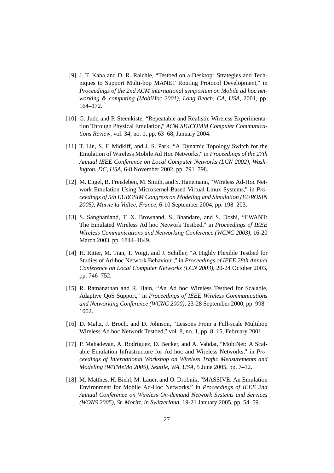- [9] J. T. Kaba and D. R. Raichle, "Testbed on a Desktop: Strategies and Techniques to Support Multi-hop MANET Routing Protocol Development," in *Proceedings of the 2nd ACM international symposium on Mobile ad hoc networking & computing (MobiHoc 2001), Long Beach, CA, USA*, 2001, pp. 164–172.
- [10] G. Judd and P. Steenkiste, "Repeatable and Realistic Wireless Experimentation Through Physical Emulation," *ACM SIGCOMM Computer Communications Review*, vol. 34, no. 1, pp. 63–68, January 2004.
- [11] T. Lin, S. F. Midkiff, and J. S. Park, "A Dynamic Topology Switch for the Emulation of Wireless Mobile Ad Hoc Networks," in *Proceedings of the 27th Annual IEEE Conference on Local Computer Networks (LCN 2002), Washington, DC, USA*, 6-8 November 2002, pp. 791–798.
- [12] M. Engel, B. Freisleben, M. Smith, and S. Hanemann, "Wireless Ad-Hoc Network Emulation Using Microkernel-Based Virtual Linux Systems," in *Proceedings of 5th EUROSIM Congress on Modeling and Simulation (EUROSIN 2005), Marne la Vallee, France*, 6-10 September 2004, pp. 198–203.
- [13] S. Sanghaniand, T. X. Brownand, S. Bhandare, and S. Doshi, "EWANT: The Emulated Wireless Ad hoc Network Testbed," in *Proceedings of IEEE Wireless Communications and Networking Conference (WCNC 2003)*, 16-20 March 2003, pp. 1844–1849.
- [14] H. Ritter, M. Tian, T. Voigt, and J. Schiller, "A Highly Flexible Testbed for Studies of Ad-hoc Network Behaviour," in *Proceedings of IEEE 28th Annual Conference on Local Computer Networks (LCN 2003)*, 20-24 October 2003, pp. 746–752.
- [15] R. Ramanathan and R. Hain, "An Ad hoc Wireless Testbed for Scalable, Adaptive QoS Support," in *Proceedings of IEEE Wireless Communications and Networking Conference (WCNC 2000)*, 23-28 September 2000, pp. 998– 1002.
- [16] D. Maltz, J. Broch, and D. Johnson, "Lessons From a Full-scale Multihop Wireless Ad hoc Network Testbed," vol. 8, no. 1, pp. 8–15, February 2001.
- [17] P. Mahadevan, A. Rodriguez, D. Becker, and A. Vahdat, "MobiNet: A Scalable Emulation Infrastructure for Ad hoc and Wireless Networks," in *Proceedings of International Workshop on Wireless Traffic Measurements and Modeling (WiTMeMo 2005), Seattle, WA, USA*, 5 June 2005, pp. 7–12.
- [18] M. Matthes, H. Biehl, M. Lauer, and O. Drobnik, "MASSIVE: An Emulation Environment for Mobile Ad-Hoc Networks," in *Proceedings of IEEE 2nd Annual Conference on Wireless On-demand Network Systems and Services (WONS 2005), St. Moritz, in Switzerland*, 19-21 January 2005, pp. 54–59.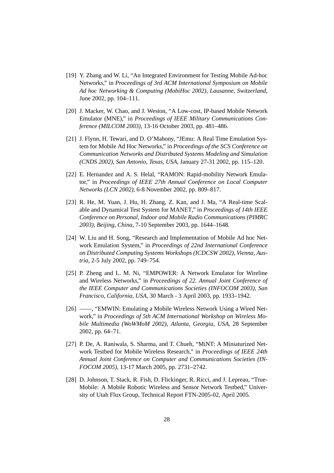- [19] Y. Zhang and W. Li, "An Integrated Environment for Testing Mobile Ad-hoc Networks," in *Proceedings of 3rd ACM International Symposium on Mobile Ad hoc Networking & Computing (MobiHoc 2002), Lausanne, Switzerland*, June 2002, pp. 104–111.
- [20] J. Macker, W. Chao, and J. Weston, "A Low-cost, IP-based Mobile Network Emulator (MNE)," in *Proceedings of IEEE Military Communications Conference (MILCOM 2003)*, 13-16 October 2003, pp. 481–486.
- [21] J. Flynn, H. Tewari, and D. O'Mahony, "JEmu: A Real Time Emulation System for Mobile Ad Hoc Networks," in *Proceedings of the SCS Conference on Communication Networks and Distributed Systems Modeling and Simulation (CNDS 2002), San Antonio, Texas, USA*, January 27-31 2002, pp. 115–120.
- [22] E. Hernandez and A. S. Helal, "RAMON: Rapid-mobility Network Emulator," in *Proceedings of IEEE 27th Annual Conference on Local Computer Networks (LCN 2002)*, 6-8 November 2002, pp. 809–817.
- [23] R. He, M. Yuan, J. Hu, H. Zhang, Z. Kan, and J. Ma, "A Real-time Scalable and Dynamical Test System for MANET," in *Proceedings of 14th IEEE Conference on Personal, Indoor and Mobile Radio Communications (PIMRC 2003), Beijing, China*, 7-10 September 2003, pp. 1644–1648.
- [24] W. Liu and H. Song, "Research and Implementation of Mobile Ad hoc Network Emulation System," in *Proceedings of 22nd International Conference on Distributed Computing Systems Workshops (ICDCSW 2002), Vienna, Austria*, 2-5 July 2002, pp. 749–754.
- [25] P. Zheng and L. M. Ni, "EMPOWER: A Network Emulator for Wireline and Wireless Networks," in *Proceedings of 22. Annual Joint Conference of the IEEE Computer and Communications Societies (INFOCOM 2003), San Francisco, California, USA*, 30 March - 3 April 2003, pp. 1933–1942.
- [26] ——, "EMWIN: Emulating a Mobile Wireless Network Using a Wired Network," in *Proceedings of 5th ACM International Workshop on Wireless Mobile Multimedia (WoWMoM 2002), Atlanta, Georgia, USA*, 28 September 2002, pp. 64–71.
- [27] P. De, A. Raniwala, S. Sharma, and T. Chueh, "MiNT: A Miniaturized Network Testbed for Mobile Wireless Research," in *Proceedings of IEEE 24th Annual Joint Conference on Computer and Communications Societies (IN-FOCOM 2005)*, 13-17 March 2005, pp. 2731–2742.
- [28] D. Johnson, T. Stack, R. Fish, D. Flickinger, R. Ricci, and J. Lepreau, "True-Mobile: A Mobile Robotic Wireless and Sensor Network Testbed," University of Utah Flux Group, Technical Report FTN-2005-02, April 2005.